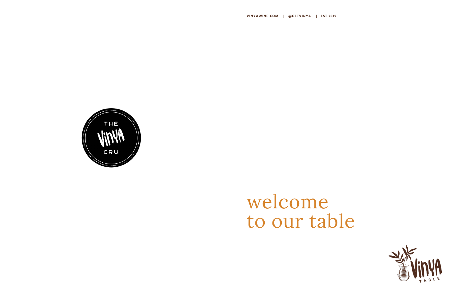# welcome to our table





![](_page_0_Picture_4.jpeg)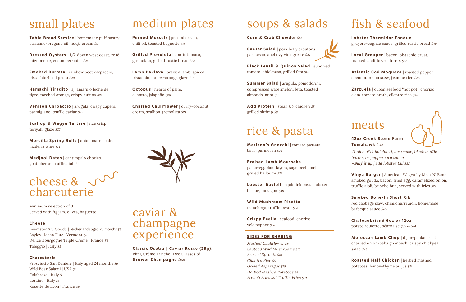#### meats

![](_page_1_Picture_44.jpeg)

**42oz Creek Stone Farm Tomahawk** \$142

Choice of chimichurri, béarnaise, black truffle butter, or peppercorn sauce *—Surf it up* | add lobster tail \$32

red cabbage slaw, chimichurri aioli, homemade barbeque sauce \$65

**Vinya Burger** | American Wagyu by Meat N' Bone, smoked gouda, bacon, fried egg, caramelized onion, truffle aioli, brioche bun, served with fries \$22

#### **Smoked Bone-In Short Rib**

**Table Bread Service** | homemade puff pastry, balsamic-oregano oil, nduja cream \$9

> **Chateaubriand 6oz or 12oz**  potato roulette, béarnaise \$39 or \$74

**Moroccan Lamb Chop** | dijon-panko crust charred onion-baba ghanoush, crispy chickpea salad \$48

**Roasted Half Chicken** | herbed mashed potatoes, lemon-thyme au jus \$21

### small plates

**Dressed Oysters** | 1/2 dozen west coast, rosé mignonette, cucumber-mint \$24

**Smoked Burrata** | rainbow beet carpaccio, pistachio-basil pesto \$20

**Hamachi Tiradito** | aji amarillo leche de tigre, torched orange, crispy quinoa \$24

**Venison Carpaccio** | arugula, crispy capers, parmigiano, truffle caviar \$22

**Caesar Salad** | pork belly croutons, parmesan, anchovy vinaigrette \$16

**Scallop & Wagyu Tartare** | rice crisp, teriyaki glaze \$22

**Morcilla Spring Rolls** | onion marmalade, madeira wine \$14

Add Protein | steak \$10, chicken \$8, grilled shrimp \$8

**Medjool Dates** | cantimpalo chorizo, goat cheese, truffle aioli \$12

![](_page_1_Picture_9.jpeg)

Minimum selection of 3 Served with fig jam, olives, baguette

#### **Cheese**

Beemster XO Gouda | Netherlands aged 26 months  $$6$ Bayley Hazen Blue | Vermont \$6 Delice Bourgogne Triple Crème | France  $$6$ Taleggio | Italy \$5

**Classic Osetra | Caviar Russe (28g)**, Blini, Crème Fraîche, Two Glasses of **Grower Champagne** \$150

#### **Charcuterie**

Prosciutto San Daniele | Italy aged 24 months  $$6$ Wild Boar Salami | USA \$7 Calabrese | Italy  $$5$ Lorzino | Italy  $$6$ Rosette de Lyon | France  $$6$ 

medium plates

Mashed Cauliflower \$8 Sautéed Wild Mushrooms \$10 Brussel Sprouts \$10 Cilantro Rice \$5 Grilled Asparagus \$10 Herbed Mashed Potatoes \$8 French Fries \$6 | Truffle Fries \$10

![](_page_1_Picture_35.jpeg)

**Pernod Mussels** | pernod cream, chili oil, toasted baguette \$18

**Grilled Provoleta** | confit tomato, gremolata, grilled rustic bread \$22

**Lamb Baklava** | braised lamb, spiced pistachio, honey-orange glaze \$18

**Octopus** | hearts of palm, cilantro, jalapeño \$26

**Charred Cauliflower** | curry-coconut cream, scallion gremolata \$24

### soups & salads

**Corn & Crab Chowder** \$12

**Black Lentil & Quinoa Salad** | sundried tomato, chickpeas, grilled feta \$14

**Summer Salad** | arugula, pomodorini, compressed watermelon, feta, toasted almonds, mint \$16

#### rice & pasta

**Mariano's Gnocchi** | tomato passata, basil, parmesan \$22

**Braised Lamb Moussaka** pasta-eggplant layers, sage béchamel, grilled halloumi \$22

**Lobster Ravioli** | squid ink pasta, lobster bisque, tarragon \$39

**Wild Mushroom Risotto** manchego, truffle pesto \$28

**Crispy Paella** | seafood, chorizo, vela pepper \$26

caviar & champagne experience

### fish & seafood

**Lobster Thermidor Fondue** gruyère-cognac sauce, grilled rustic bread \$40

**Local Grouper** | bacon-pistachio crust, roasted cauliflower florets \$36

**Atlantic Cod Moqueca** | roasted peppercoconut cream stew, jasmine rice \$26

**Zarzuela** | cuban seafood "hot pot," chorizo, clam-tomato broth, cilantro rice \$45

#### **SIDES FOR SHARING**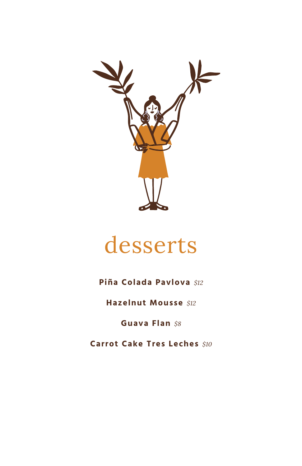![](_page_2_Picture_0.jpeg)

#### desserts

#### **Piña Colada Pavlova** \$12

**Hazelnut Mousse \$12** 

Guava Flan \$8

**Carrot Cake Tres Leches** \$10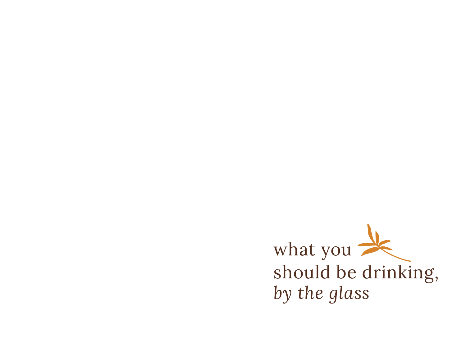![](_page_3_Picture_0.jpeg)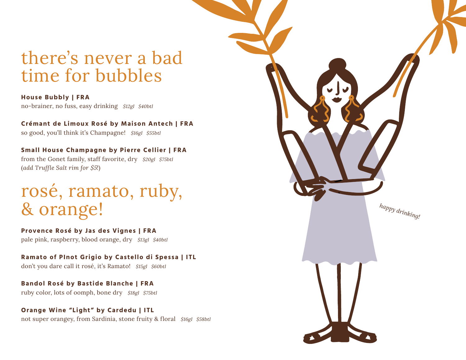#### there's never a bad time for bubbles

**House Bubbly | FRA** no-brainer, no fuss, easy drinking \$12gl \$40btl

**Crémant de Limoux Rosé by Maison Antech | FRA**  so good, you'll think it's Champagne! \$16gl \$55btl

**Small House Champagne by Pierre Cellier | FRA** from the Gonet family, staff favorite, dry \$20gl \$75btl (*add Truffle Salt rim for \$5!*)

#### rosé, ramato, ruby, & orange!

**Provence Rosé by Jas des Vignes | FRA** pale pink, raspberry, blood orange, dry \$13gl \$40btl

**Ramato of PInot Grigio by Castello di Spessa | ITL** don't you dare call it rosé, it's Ramato! \$15gl \$60btl

**Bandol Rosé by Bastide Blanche | FRA** ruby color, lots of oomph, bone dry \$18gl \$75btl

**Orange Wine "Light" by Cardedu | ITL** not super orangey, from Sardinia, stone fruity & floral \$16gl \$58btl

![](_page_4_Picture_9.jpeg)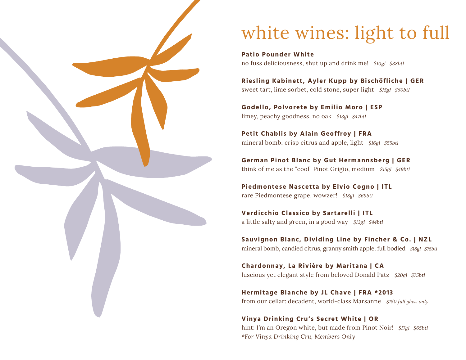![](_page_5_Picture_0.jpeg)

## white wines: light to full

**Patio Pounder White** no fuss deliciousness, shut up and drink me! \$10gl \$38btl

**Riesling Kabinett, Ayler Kupp by Bischöfliche | GER** sweet tart, lime sorbet, cold stone, super light \$15gl \$60btl

**Godello, Polvorete by Emilio Moro | ESP** limey, peachy goodness, no oak \$13gl \$47btl

**Petit Chablis by Alain Geoffroy | FRA** mineral bomb, crisp citrus and apple, light \$16gl \$55btl

**German Pinot Blanc by Gut Hermannsberg | GER** think of me as the "cool" Pinot Grigio, medium \$15gl \$49btl

**Piedmontese Nascetta by Elvio Cogno | ITL** rare Piedmontese grape, wowzer! \$18gl \$69btl

**Verdicchio Classico by Sartarelli | ITL** a little salty and green, in a good way \$13gl \$44btl

**Sauvignon Blanc, Dividing Line by Fincher & Co. | NZL** mineral bomb, candied citrus, granny smith apple, full bodied \$18gl \$75btl

**Chardonnay, La Rivière by Maritana | CA** luscious yet elegant style from beloved Donald Patz \$20gl \$75btl

**Hermitage Blanche by JL Chave | FRA \*2013** from our cellar: decadent, world-class Marsanne \$150 *full glass only*

**Vinya Drinking Cru's Secret White | OR** hint: I'm an Oregon white, but made from Pinot Noir! \$17gl \$65btl *\*For Vinya Drinking Cru, Members Only*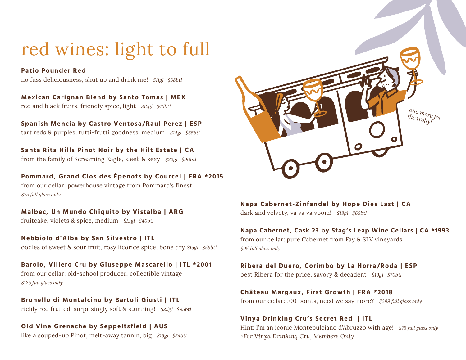### red wines: light to full

**Patio Pounder Red** no fuss deliciousness, shut up and drink me! \$11gl \$38btl

**Mexican Carignan Blend by Santo Tomas | MEX** red and black fruits, friendly spice, light \$12gl \$45btl

**Spanish Mencía by Castro Ventosa/Raul Perez | ESP** tart reds & purples, tutti-frutti goodness, medium \$14gl \$55btl

**Santa Rita Hills Pinot Noir by the Hilt Estate | CA** from the family of Screaming Eagle, sleek & sexy \$22gl \$90btl

**Pommard, Grand Clos des Épenots by Courcel | FRA \*2015** from our cellar: powerhouse vintage from Pommard's finest \$75 *full glass only*

**Malbec, Un Mundo Chiquito by Vistalba | ARG** fruitcake, violets & spice, medium \$13gl \$40btl

**Nebbiolo d'Alba by San Silvestro | ITL** oodles of sweet & sour fruit, rosy licorice spice, bone dry \$15gl \$58btl

**Barolo, Villero Cru by Giuseppe Mascarello | ITL \*2001** from our cellar: old-school producer, collectible vintage \$125 *full glass only*

**Brunello di Montalcino by Bartoli Giusti | ITL** richly red fruited, surprisingly soft & stunning! \$25gl \$95btl

**Old Vine Grenache by Seppeltsfield | AUS** like a souped-up Pinot, melt-away tannin, big \$15gl \$54btl

![](_page_6_Picture_11.jpeg)

#### **Napa Cabernet-Zinfandel by Hope Dies Last | CA**

dark and velvety, va va va voom! \$18gl \$65btl

**Napa Cabernet, Cask 23 by Stag's Leap Wine Cellars | CA \*1993**

from our cellar: pure Cabernet from Fay & SLV vineyards \$95 *full glass only*

**Ribera del Duero, Corimbo by La Horra/Roda | ESP** best Ribera for the price, savory & decadent \$19gl \$70btl

**Château Margaux, First Growth | FRA \*2018** from our cellar: 100 points, need we say more? \$299 *full glass only*

#### **Vinya Drinking Cru's Secret Red | ITL**

Hint: I'm an iconic Montepulciano d'Abruzzo with age! \$75 *full glass only \*For Vinya Drinking Cru, Members Only*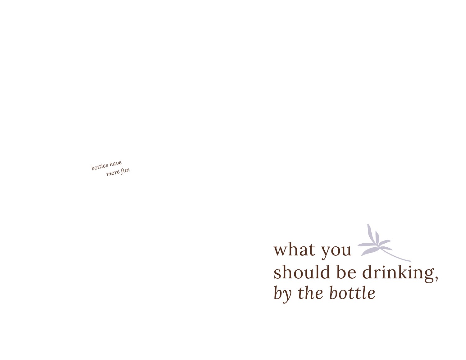*bottles have more fun*

> what you should be drinking, *by the bottle*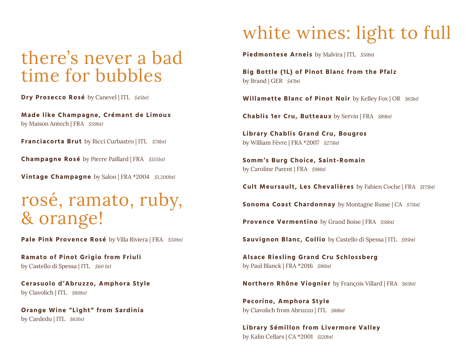#### there's never a bad time for bubbles

**Dry Prosecco Rosé** by Canevel | ITL \$45btl

**Made like Champagne, Crémant de Limoux**  by Maison Antech | FRA \$59btl

**Franciacorta Brut** by Ricci Curbastro | ITL \$78btl

**Champagne Rosé** by Pierre Paillard | FRA \$155btl

**Vintage Champagne** by Salon | FRA \*2004 \$1,200btl

#### rosé, ramato, ruby, & orange!

Pale Pink Provence Rosé by Villa Riviera | FRA \$50btl

**Ramato of Pinot Grigio from Friuli**  by Castello di Spessa | ITL \$60 btl

**Cerasuolo d'Abruzzo, Amphora Style**  by Ciavolich | ITL \$80btl

**Orange Wine "Light" from Sardinia**  by Cardedu | ITL \$65btl

### white wines: light to full

**Piedmontese Arneis** by Malvira | ITL \$50btl

**Big Bottle (1L) of Pinot Blanc from the Pfalz**  by Brand | GER \$47btl

Willamette Blanc of Pinot Noir by Kelley Fox | OR \$65btl

**Chablis 1er Cru, Butteaux** by Servin | FRA \$89btl

**Library Chablis Grand Cru, Bougros**  by William Fèvre | FRA \*2007 \$275btl

**Somm's Burg Choice, Saint-Romain**  by Caroline Parent | FRA \$98btl

**Cult Meursault, Les Chevalières** by Fabien Coche | FRA \$175btl

**Sonoma Coast Chardonnay** by Montagne Russe | CA \$75btl

**Provence Vermentino** by Grand Boise | FRA \$56btl

**Sauvignon Blanc, Collio** by Castello di Spessa | ITL \$95btl

**Alsace Riesling Grand Cru Schlossberg**  by Paul Blanck | FRA \*2016 \$96btl

**Northern Rhône Viognier** by François Villard | FRA \$65btl

**Pecorino, Amphora Style**  by Ciavolich from Abruzzo | ITL \$88btl

**Library Sémillon from Livermore Valley**  by Kalin Cellars | CA \*2001 \$120btl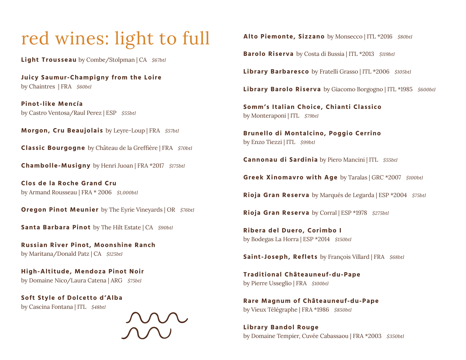#### red wines: light to full

**Light Trousseau** by Combe/Stolpman | CA \$67btl

**Juicy Saumur-Champigny from the Loire**  by Chaintres | FRA \$60btl

**Pinot-like Mencía**  by Castro Ventosa/Raul Perez | ESP \$55btl

**Morgon, Cru Beaujolais** by Leyre-Loup | FRA \$57btl

**Classic Bourgogne** by Château de la Greffière | FRA \$70btl

**Chambolle-Musigny** by Henri Juoan | FRA \*2017 \$175btl

**Clos de la Roche Grand Cru**  by Armand Rousseau | FRA \* 2006 \$1,000btl

**Oregon Pinot Meunier** by The Eyrie Vineyards | OR \$76btl

**Santa Barbara Pinot** by The Hilt Estate | CA \$90btl

**Russian River Pinot, Moonshine Ranch**  by Maritana/Donald Patz | CA \$125btl

**High-Altitude, Mendoza Pinot Noir**  by Domaine Nico/Laura Catena | ARG \$75btl

**Soft Style of Dolcetto d'Alba**  by Cascina Fontana | ITL \$48btl

![](_page_9_Picture_13.jpeg)

Alto Piemonte, Sizzano by Monsecco | ITL \*2016 \$80btl

**Barolo Riserva** by Costa di Bussia | ITL \*2013 \$119btl

Library Barbaresco by Fratelli Grasso | ITL \*2006 \$105btl

**Library Barolo Riserva** by Giacomo Borgogno | ITL \*1985 \$600btl

**Somm's Italian Choice, Chianti Classico**  by Monteraponi | ITL \$79btl

**Brunello di Montalcino, Poggio Cerrino**  by Enzo Tiezzi | ITL \$99btl

**Cannonau di Sardinia** by Piero Mancini | ITL \$55btl

**Greek Xinomavro with Age** by Taralas | GRC \*2007 \$100btl

**Rioja Gran Reserva** by Marqués de Legarda | ESP \*2004 \$75btl

**Rioja Gran Reserva** by Corral | ESP \*1978 \$275btl

**Ribera del Duero, Corimbo I** by Bodegas La Horra | ESP \*2014 \$150btl

**Saint-Joseph, Reflets** by François Villard | FRA \$68btl

**Traditional Châteauneuf-du-Pape**  by Pierre Usseglio | FRA \$100btl

**Rare Magnum of Châteauneuf-du-Pape**  by Vieux Télégraphe | FRA \*1986 \$850btl

**Library Bandol Rouge**  by Domaine Tempier, Cuvée Cabassaou | FRA \*2003 \$350btl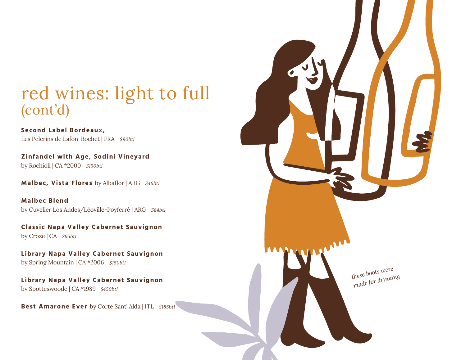#### red wines: light to full (cont'd)

**Second Label Bordeaux,**  Les Pelerins de Lafon-Rochet | FRA \$90btl

**Zinfandel with Age, Sodini Vineyard**  by Rochioli | CA \*2000 \$150btl

**Malbec, Vista Flores** by Albaflor | ARG \$46btl

**Malbec Blend**  by Cuvelier Los Andes/Léoville-Poyferré | ARG \$84btl

**Classic Napa Valley Cabernet Sauvignon**  by Croze | CA \$95btl

**Library Napa Valley Cabernet Sauvignon**  by Spring Mountain | CA \*2006 \$150btl

**Library Napa Valley Cabernet Sauvignon**  by Spotteswoode | CA \*1989 \$450btl

**Best Amarone Ever** by Corte Sant' Alda | ITL \$185btl

![](_page_10_Picture_9.jpeg)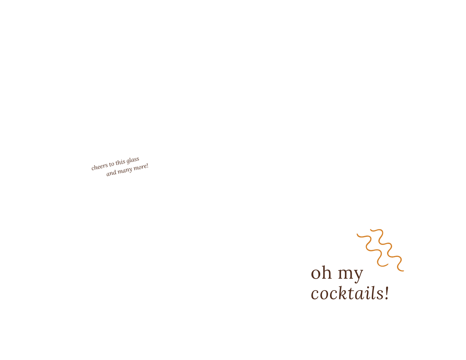![](_page_11_Picture_0.jpeg)

*cheers to this glass and many more!*